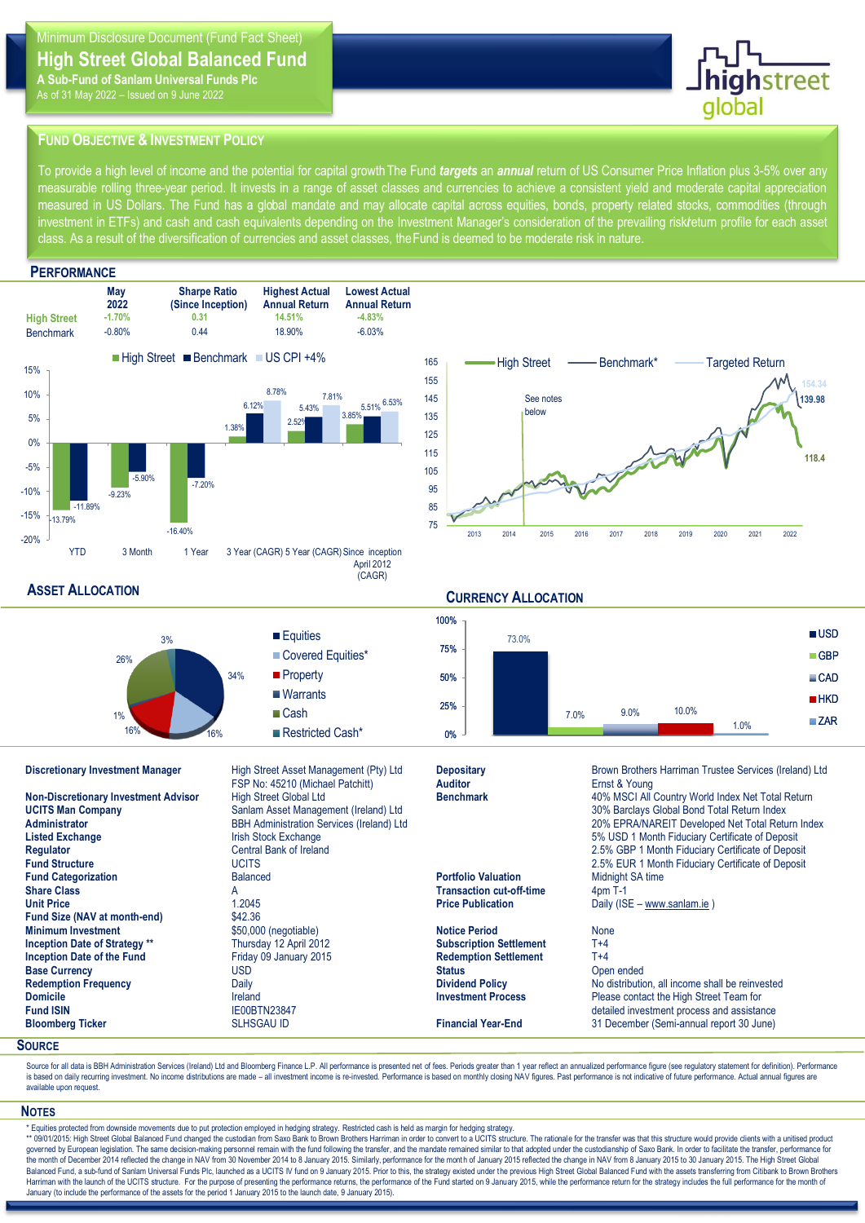# **High Street Global Balanced Fund**

**A Sub-Fund of Sanlam Universal Funds Plc** As of 31 May 2022 – Issued on 9 June 2022



# **FUND OBJECTIVE & INVESTMENT POLICY**

To provide a high level of income and the potential for capital growth The Fund *targets* an *annual* return of US Consumer Price Inflation plus 3-5% over any measurable rolling three-year period. It invests in a range of asset classes and currencies to achieve a consistent yield and moderate capital appreciation measured in US Dollars. The Fund has a global mandate and may allocate capital across equities, bonds, property related stocks, commodities (through investment in ETFs) and cash and cash equivalents depending on the Investment Manager's consideration of the prevailing risk/return profile for each asset class. As a result of the diversification of currencies and asset classes, the Fund is deemed to be moderate risk in nature.

## **PERFORMANCE**





**Bloomber (Semi-annual report 30 June)** 

## **ASSET ALLOCATION**

### **CURRENCY ALLOCATION Discretionary Investment Manager** High Street Asset Management (Pty) Ltd **Depositary** Brown Brothers Harriman Trustee Services (Ireland) Ltd **Auditor Auditor Brown Brothers Harriman Trustee Services (Ireland) Ltd Au** FSP No: 45210 (Michael Patchitt) **Non-Discretionary Investment Advisor** High Street Global Ltd **Benchmark** 40% MSCI All Country World Index Net Total Return **UCITS Man Company** Sanlam Asset Management (Ireland) Ltd **Source Company Server Company Server And Total Return Index**<br>30% EPRA/NAREIT Developed Net Total Return Server Bond The Management Company of the Server of the Ser **Administrator Administration Services** (Ireland) Ltd **20% EPRA/NAREIT Developed Net Total Return Index**<br>
Listed Exchange **Exchange** Irish Stock Exchange **International Control 2006** 1 Month Fiduciary Certificate of Depo **5% USD 1 Month Fiduciary Certificate of Deposit Regulator** Central Bank of Ireland 2.5% GBP 1 Month Fiduciary Certificate of Deposit<br>
2.5% EUR 1 Month Fiduciary Certificate of Deposit<br>
2.5% EUR 1 Month Fiduciary Certificate of Deposit **2.5% EUR 1 Month Fiduciary Certificate of Deposit Fund Categorization**<br> **Relation** Balanced **Portfolio Valuation** Midnight SA time<br> **Portfolio Valuation** Midnight SA time<br> **Portfolio Valuation** Midnight SA time **Share Classic Classic Classic Classic Classic Classic Classic Classic Classic Classic Classic Classic Classic Classic Classic Classic Classic Classic Classic Classic Classic Classic Classic Classic Classic Classic Classic Unit Price** 1.2045 1.2045 **Price Publication** Daily (ISE – [www.sanlam.ie](http://www.sanlam.ie/) )<br> **Price Publication** Daily (ISE – www.sanlam.ie ) **Fund Size (NAV at month-end) Minimum Investment**<br> **Inception Date of Strategy** \*\* **None** Thursday 12 April 2012 **Notice Period None Subscription Settlement** T+4 **Inception Date of Strategy \*\* Inception Date of the Fund** Friday 09 January 2015 **Redemption Settlement** T+4 **Base Currency** Open ended<br> **Base Currency** Open ended<br> **Redemption Frequency Status** Open ended Dividend Policy **Status** Open ended Note that the Dividend Policy **Status ASSET ALLOCATION** 26% 34% 16% 16% 1% 3% Equities Covered Equities\* **Property Warrants ■Cash** Restricted Cash\* 73.0% 7.0% 9.0% 10.0% 0% 25% 50% 75% 100% **USD** ■ GBP CAD  $H$ KD **ZAR** 1.0%

**Redemption Frequency Daily** Daily **Dividend Policy Dividend Policy No distribution, all income shall be reinvested**<br> **Dividend By Divident Proces** Please contact the High Street Team for **Domicile IRELANDE ISSUES INVESTED INVESTMENT PROCESS** Please contact the High Street Team for<br> **IEOOBTN23847** IFOOBTN23847 **IFOOBTN23847** IFOOBTN23847 ISSUES INVESTIGATION **INVESTIGATION** Fund ISIN **IE00BTN23847** IE00BTN23847 **COMBING 1999 120 EXECUTE:** COMBINEN TREAST ENGINEER CONSTRUCT PROCESS and assistance<br>
Bloomberg Ticker **Commission** SLHSGAU ID **COMBING 1999 120 Executes** Commission Commission Studie

# Sour **SOURCE**

Source for all data is BBH Administration Services (Ireland) Ltd and Bloomberg Finance L.P. All performance is presented net of fees. Periods greater than 1 year reflect an annualized performance figure (see regulatory sta is based on daily recurring investment. No income distributions are made - all investment income is re-invested. Performance is based on monthly closing NAV figures. Past performance is not indicative of future performance available upon request.

### **NOTES**

\* Equities protected from downside movements due to put protection employed in hedging strategy. Restricted cash is held as margin for hedging strategy.<br>\*\* 09/01/2015: High Street Global Balanced Fund changed the custodian governed by European legislation. The same decision-making personnel remain with the fund following the transfer, and the mandate remained similar to that adopted under the custodianship of Saxo Bank. In order to facilitat the month of December 2014 reflected the change in NAV from 30 November 2014 to 8 January 2015. Similarly, performance for the month of January 2015 reflected the change in NAV from 8 January 2015 to 30 January 2015. The H Harriman with the launch of the UCITS structure. For the purpose of presenting the performance returns, the performance of the Fund started on 9 January 2015, while the performance return for the strategy includes the full January (to include the performance of the assets for the period 1 January 2015 to the launch date, 9 January 2015).

### **CURRENCY ALLOCATION**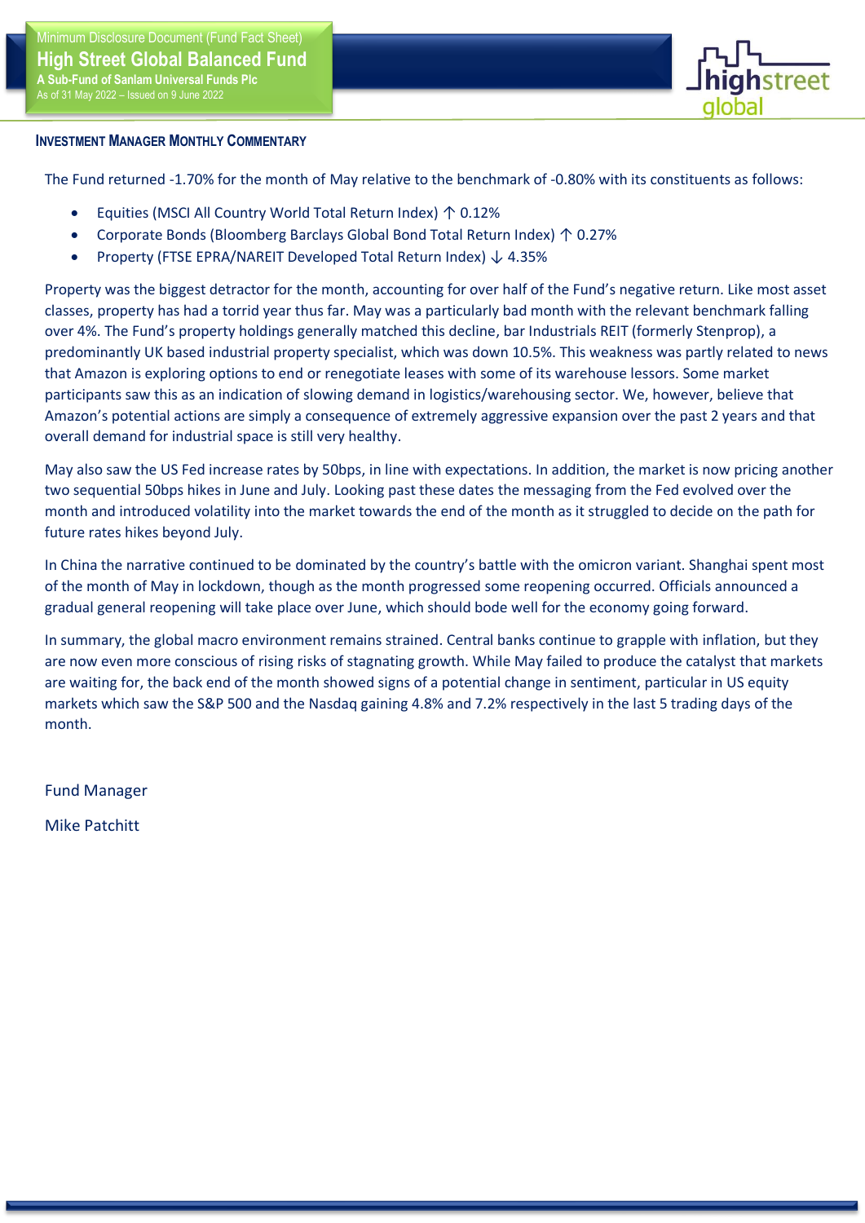

# **INVESTMENT MANAGER MONTHLY COMMENTARY**

The Fund returned -1.70% for the month of May relative to the benchmark of -0.80% with its constituents as follows:

- Equities (MSCI All Country World Total Return Index) ↑ 0.12%
- Corporate Bonds (Bloomberg Barclays Global Bond Total Return Index) ↑ 0.27%
- Property (FTSE EPRA/NAREIT Developed Total Return Index) ↓ 4.35%

classes, property has had a torrid year thus far. May was a particularly bad month with the relevant benchmark falling Property was the biggest detractor for the month, accounting for over half of the Fund's negative return. Like most asset over 4%. The Fund's property holdings generally matched this decline, bar Industrials REIT (formerly Stenprop), a predominantly UK based industrial property specialist, which was down 10.5%. This weakness was partly related to news that Amazon is exploring options to end or renegotiate leases with some of its warehouse lessors. Some market participants saw this as an indication of slowing demand in logistics/warehousing sector. We, however, believe that Amazon's potential actions are simply a consequence of extremely aggressive expansion over the past 2 years and that overall demand for industrial space is still very healthy.

May also saw the US Fed increase rates by 50bps, in line with expectations. In addition, the market is now pricing another two sequential 50bps hikes in June and July. Looking past these dates the messaging from the Fed evolved over the month and introduced volatility into the market towards the end of the month as it struggled to decide on the path for future rates hikes beyond July.

In China the narrative continued to be dominated by the country's battle with the omicron variant. Shanghai spent most of the month of May in lockdown, though as the month progressed some reopening occurred. Officials announced a gradual general reopening will take place over June, which should bode well for the economy going forward.

In summary, the global macro environment remains strained. Central banks continue to grapple with inflation, but they are now even more conscious of rising risks of stagnating growth. While May failed to produce the catalyst that markets are waiting for, the back end of the month showed signs of a potential change in sentiment, particular in US equity markets which saw the S&P 500 and the Nasdaq gaining 4.8% and 7.2% respectively in the last 5 trading days of the month.

Fund Manager

Mike Patchitt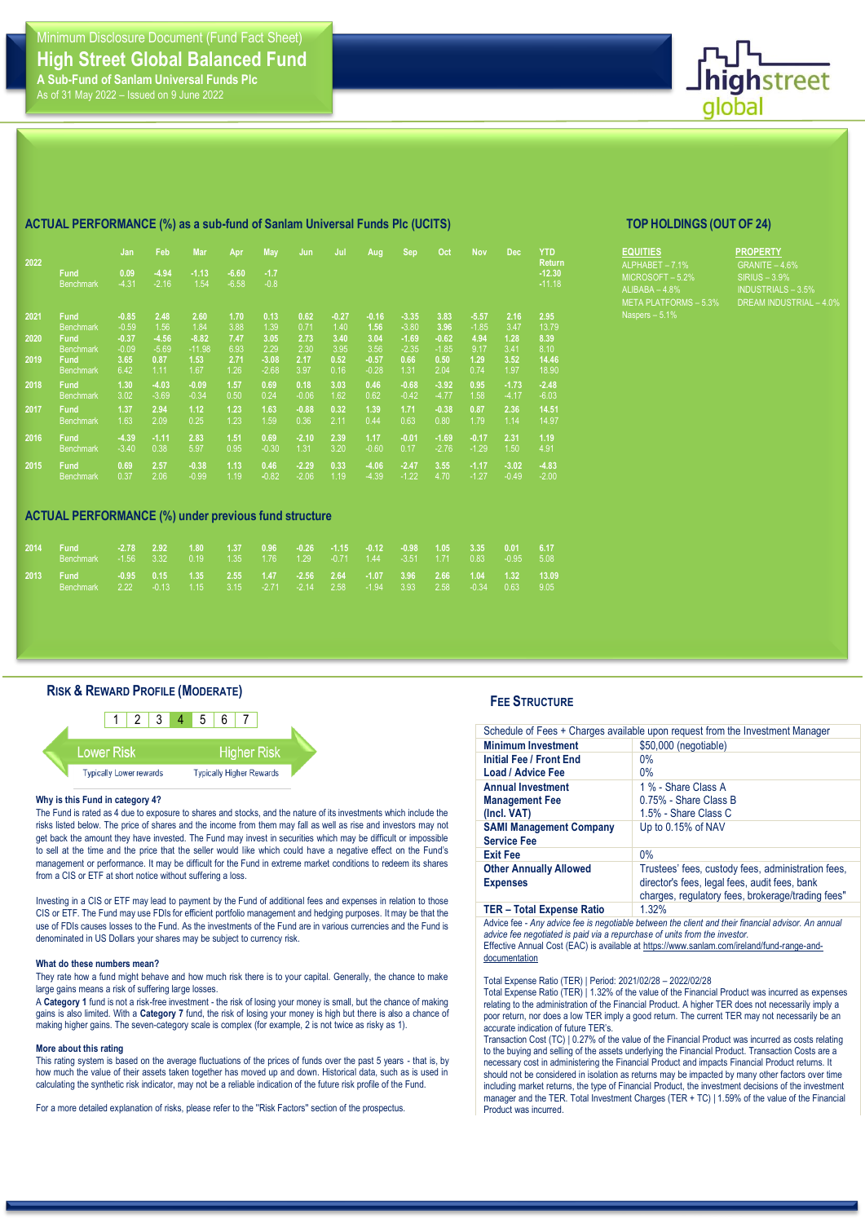

### **2022 Fund** Benchmark **0.09** -4.31 **Feb -4.94**  -2.16 **Mar Apr -6.60**  -6.58 **May Jun Jul Aug Sep Oct Nov Dec YTD 2021 Fund Benchmark -0.85 2.48** 1.56 **-4.56 2.60** 1.84 **-8.82** -11.98 **1.53** 1.67 **1.70** 3.88 **7.47** 6.93 **2.71** 1.26 **0.13** 1.39 **3.05** 2.29 **-3.08** -2.68 **0.62** 0.71 **2.73** 2.30 **2.17** 3.97 **-0.27** 1.40 **3.40** 3.95 **0.52** 0.16 **-0.16 1.56 3.04** 3.56 **-0.57** -0.28 **-3.35 -**3.80 **-1.69** -2.35 **0.66** 1.31 **3.83 3.96 -0.62** -1.85 **0.50** 2.04 **-5.57** -1.85 **4.94** 9.17 **1.29** 0.74 **2.16** 3.47 **1.28** 3.41 **3.52** 1.97 **2020 Fund** Benchmark **-0.37** -0.09 -5.69 **0.87** 1.11 **2019 Fund** Benchmark **3.65** 6.42 **2018 Fund** Benchmark **1.30** 3.02 **-4.03** -3.69 **-0.09** -0.34 **1.57** 0.50 **0.69** 0.24 **0.18** -0.06 **3.03** 1.62 **0.46** 0.62 **-0.68** -0.42 **-3.92** -4.77 **0.95** 1.58 **-1.73** -4.17 **2017 Fund Benchmark 1.37** 1.63 **2.94** 2.09 **1.12** 0.25 **1.23** 1.23 **1.63** 1.59 **-0.88** 0.36 **0.32** 2.11 **1.39** 0.44 **1.71** 0.63 **-0.38** 0.80 **0.87** 1.79 **2.36** 1.14 **2016 Fund Benchmark -4.39** -3.40 **-1.11** 0.38 **2.83** 5.97 **1.51** 0.95 **0.69** -0.30 **-2.10** 1.31 **2.39** 3.20 **1.17** -0.60 **-0.01** 0.17 **-1.69** -2.76 **-0.17** -1.29 **2.31** 1.50 **2015 Fund Benchmark 0.69** 0.37 **2.57** 2.06 **-0.38** -0.99 **1.13** 1.19 **0.46 -**0.82 **-2.29 0.33** 1.19 **-4.06 -2.47 3.55** 4.70 **-1.17** -1.27 **-3.02** -0.49 **ACTUAL PERFORMANCE (%) under previous fund structure 2014 Fund Benchmark -2.78 2.92** 3.32 **1.80** 0.19 **1.37** 1.35 **0.96 -0.26** 1.29 **-1.15** -0.71 **-0.12** 1.44 **-0.98** -3.51 **1.05** 1.71 **3.35** 0.83 **0.01** -0.95

### **ACTUAL PERFORMANCE (%) as a sub-fund of Sanlam Universal Funds Plc (UCITS) TOP HOLDINGS (OUT OF 24)**

| <b>EQUITIES</b>              |
|------------------------------|
| ALPHABET - 7.1%              |
| $MICROSOFT - 5.2%$           |
| ALIBABA $-4.8%$              |
| <b>META PLATFORMS - 5.3%</b> |
| Naspers $-5.1%$              |

**PROPERTY** GRANITE – 4.6% -<br>AM INDUSTRIAL –

# **RISK & REWARD PROFILE (MODERATE)**

**-0.95** 2.22

**0.15** -0.13

**1.35** 1.15

**2.55** 3.15

**1.47** -2.71

**-2.56** -2.14 **2.64** 2.58

**-1.07** -1.94

**3.96** 3.93

**2.66** 2.58

**1.04** -0.34

**1.32** 0.63



### **Why is this Fund in category 4?**

Benchmark

The Fund is rated as 4 due to exposure to shares and stocks, and the nature of its investments which include the risks listed below. The price of shares and the income from them may fall as well as rise and investors may not get back the amount they have invested. The Fund may invest in securities which may be difficult or impossible to sell at the time and the price that the seller would like which could have a negative effect on the Fund's management or performance. It may be difficult for the Fund in extreme market conditions to redeem its shares from a CIS or ETF at short notice without suffering a loss.

Investing in a CIS or ETF may lead to payment by the Fund of additional fees and expenses in relation to those CIS or ETF. The Fund may use FDIs for efficient portfolio management and hedging purposes. It may be that the use of FDIs causes losses to the Fund. As the investments of the Fund are in various currencies and the Fund is denominated in US Dollars your shares may be subject to currency risk.

### **What do these numbers mean?**

They rate how a fund might behave and how much risk there is to your capital. Generally, the chance to make large gains means a risk of suffering large losses.

A **Category 1** fund is not a risk-free investment - the risk of losing your money is small, but the chance of making gains is also limited. With a **Category 7** fund, the risk of losing your money is high but there is also a chance of making higher gains. The seven-category scale is complex (for example, 2 is not twice as risky as 1).

### **More about this rating**

This rating system is based on the average fluctuations of the prices of funds over the past 5 years - that is, by how much the value of their assets taken together has moved up and down. Historical data, such as is used in calculating the synthetic risk indicator, may not be a reliable indication of the future risk profile of the Fund.

For a more detailed explanation of risks, please refer to the "Risk Factors" section of the prospectus

### **FEE STRUCTURE**

**Return -12.30 -**11.18

**2.95** 13.79 **8.39**

8.10 **14.46** 18.90

**-2.48** -6.03

**14.51** 14.97

**1.19** 4.91

**-4.83** -2.00

**6.17** 5.08

**13.09** 9.05

|                                  | Schedule of Fees + Charges available upon request from the Investment Manager |
|----------------------------------|-------------------------------------------------------------------------------|
| <b>Minimum Investment</b>        | \$50,000 (negotiable)                                                         |
| Initial Fee / Front End          | $0\%$                                                                         |
| <b>Load / Advice Fee</b>         | $0\%$                                                                         |
| <b>Annual Investment</b>         | 1 % - Share Class A                                                           |
| <b>Management Fee</b>            | 0.75% - Share Class B                                                         |
| (Incl. VAT)                      | 1.5% - Share Class C                                                          |
| <b>SAMI Management Company</b>   | Up to 0.15% of NAV                                                            |
| <b>Service Fee</b>               |                                                                               |
| <b>Exit Fee</b>                  | $0\%$                                                                         |
| <b>Other Annually Allowed</b>    | Trustees' fees, custody fees, administration fees,                            |
| <b>Expenses</b>                  | director's fees, legal fees, audit fees, bank                                 |
|                                  | charges, regulatory fees, brokerage/trading fees"                             |
| <b>TER</b> – Total Expense Ratio | 1.32%                                                                         |
|                                  |                                                                               |

Advice fee - *Any advice fee is negotiable between the client and their financial advisor. An annual advice fee negotiated is paid via a repurchase of units from the investor.* Effective Annual Cost (EAC) is available a[t https://www.sanlam.com/ireland/fund-range-and](https://www.sanlam.com/ireland/fund-range-and-documentation)[documentation](https://www.sanlam.com/ireland/fund-range-and-documentation)

Total Expense Ratio (TER) | Period: 2021/02/28 – 2022/02/28

Total Expense Ratio (TER) | 1.32% of the value of the Financial Product was incurred as expenses relating to the administration of the Financial Product. A higher TER does not necessarily imply a poor return, nor does a low TER imply a good return. The current TER may not necessarily be an accurate indication of future TER's.

Transaction Cost (TC) | 0.27% of the value of the Financial Product was incurred as costs relating to the buying and selling of the assets underlying the Financial Product. Transaction Costs are a necessary cost in administering the Financial Product and impacts Financial Product returns. It should not be considered in isolation as returns may be impacted by many other factors over time including market returns, the type of Financial Product, the investment decisions of the investment manager and the TER. Total Investment Charges (TER + TC) | 1.59% of the value of the Financial Product was incurred.